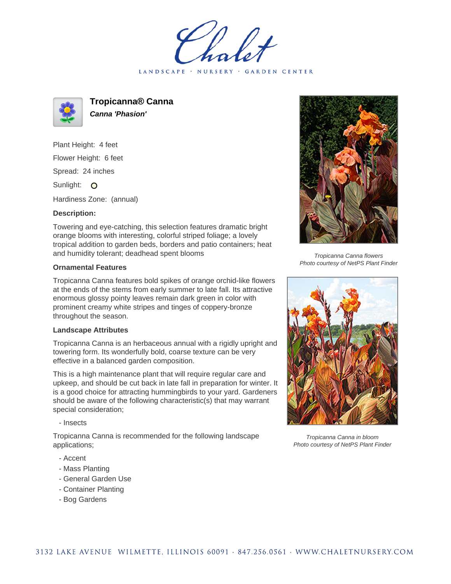LANDSCAPE · NURSERY · GARDEN CENTER



**Tropicanna® Canna Canna 'Phasion'**

Plant Height: 4 feet Flower Height: 6 feet Spread: 24 inches Sunlight: O

Hardiness Zone: (annual)

## **Description:**

Towering and eye-catching, this selection features dramatic bright orange blooms with interesting, colorful striped foliage; a lovely tropical addition to garden beds, borders and patio containers; heat and humidity tolerant; deadhead spent blooms

## **Ornamental Features**

Tropicanna Canna features bold spikes of orange orchid-like flowers at the ends of the stems from early summer to late fall. Its attractive enormous glossy pointy leaves remain dark green in color with prominent creamy white stripes and tinges of coppery-bronze throughout the season.

## **Landscape Attributes**

Tropicanna Canna is an herbaceous annual with a rigidly upright and towering form. Its wonderfully bold, coarse texture can be very effective in a balanced garden composition.

This is a high maintenance plant that will require regular care and upkeep, and should be cut back in late fall in preparation for winter. It is a good choice for attracting hummingbirds to your yard. Gardeners should be aware of the following characteristic(s) that may warrant special consideration;

- Insects

Tropicanna Canna is recommended for the following landscape applications;

- Accent
- Mass Planting
- General Garden Use
- Container Planting
- Bog Gardens



Tropicanna Canna flowers Photo courtesy of NetPS Plant Finder



Tropicanna Canna in bloom Photo courtesy of NetPS Plant Finder